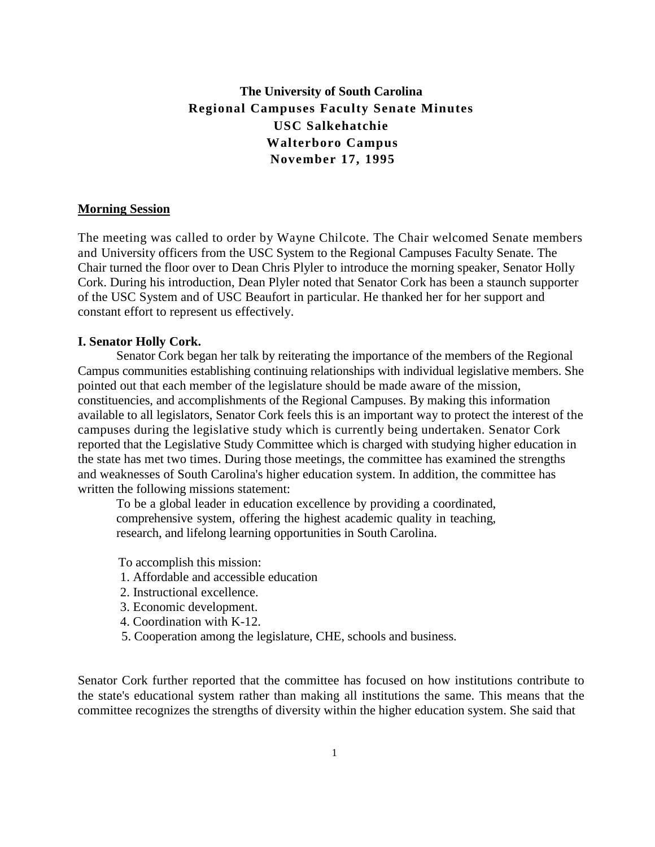# **The University of South Carolina Regional Campuses Faculty Senate Minutes USC Salkehatchie Walterboro Campus November 17, 1995**

#### **Morning Session**

The meeting was called to order by Wayne Chilcote. The Chair welcomed Senate members and University officers from the USC System to the Regional Campuses Faculty Senate. The Chair turned the floor over to Dean Chris Plyler to introduce the morning speaker, Senator Holly Cork. During his introduction, Dean Plyler noted that Senator Cork has been a staunch supporter of the USC System and of USC Beaufort in particular. He thanked her for her support and constant effort to represent us effectively.

## **I. Senator Holly Cork.**

Senator Cork began her talk by reiterating the importance of the members of the Regional Campus communities establishing continuing relationships with individual legislative members. She pointed out that each member of the legislature should be made aware of the mission, constituencies, and accomplishments of the Regional Campuses. By making this information available to all legislators, Senator Cork feels this is an important way to protect the interest of the campuses during the legislative study which is currently being undertaken. Senator Cork reported that the Legislative Study Committee which is charged with studying higher education in the state has met two times. During those meetings, the committee has examined the strengths and weaknesses of South Carolina's higher education system. In addition, the committee has written the following missions statement:

To be a global leader in education excellence by providing a coordinated, comprehensive system, offering the highest academic quality in teaching, research, and lifelong learning opportunities in South Carolina.

To accomplish this mission:

- 1. Affordable and accessible education
- 2. Instructional excellence.
- 3. Economic development.
- 4. Coordination with K-12.
- 5. Cooperation among the legislature, CHE, schools and business.

Senator Cork further reported that the committee has focused on how institutions contribute to the state's educational system rather than making all institutions the same. This means that the committee recognizes the strengths of diversity within the higher education system. She said that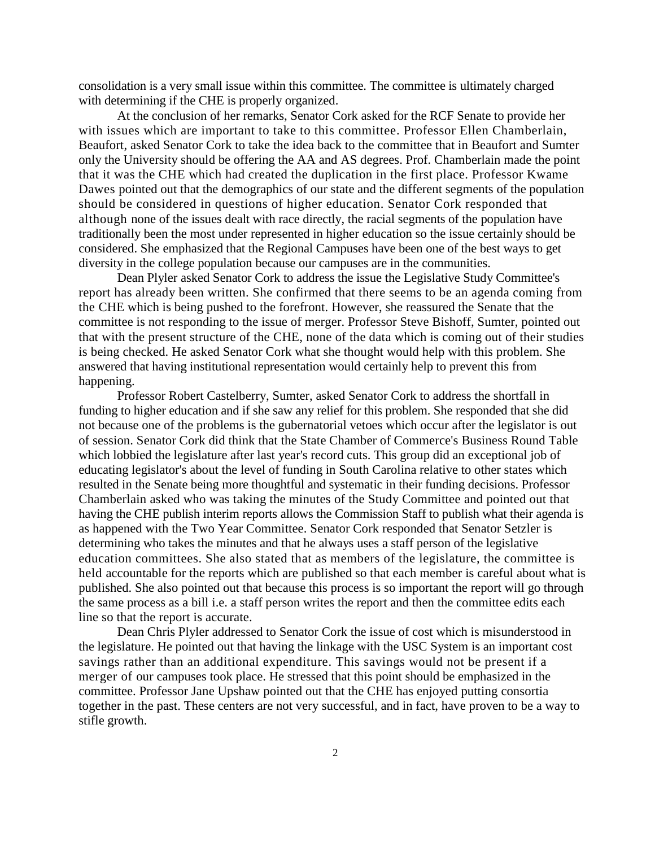consolidation is a very small issue within this committee. The committee is ultimately charged with determining if the CHE is properly organized.

At the conclusion of her remarks, Senator Cork asked for the RCF Senate to provide her with issues which are important to take to this committee. Professor Ellen Chamberlain, Beaufort, asked Senator Cork to take the idea back to the committee that in Beaufort and Sumter only the University should be offering the AA and AS degrees. Prof. Chamberlain made the point that it was the CHE which had created the duplication in the first place. Professor Kwame Dawes pointed out that the demographics of our state and the different segments of the population should be considered in questions of higher education. Senator Cork responded that although none of the issues dealt with race directly, the racial segments of the population have traditionally been the most under represented in higher education so the issue certainly should be considered. She emphasized that the Regional Campuses have been one of the best ways to get diversity in the college population because our campuses are in the communities.

Dean Plyler asked Senator Cork to address the issue the Legislative Study Committee's report has already been written. She confirmed that there seems to be an agenda coming from the CHE which is being pushed to the forefront. However, she reassured the Senate that the committee is not responding to the issue of merger. Professor Steve Bishoff, Sumter, pointed out that with the present structure of the CHE, none of the data which is coming out of their studies is being checked. He asked Senator Cork what she thought would help with this problem. She answered that having institutional representation would certainly help to prevent this from happening.

Professor Robert Castelberry, Sumter, asked Senator Cork to address the shortfall in funding to higher education and if she saw any relief for this problem. She responded that she did not because one of the problems is the gubernatorial vetoes which occur after the legislator is out of session. Senator Cork did think that the State Chamber of Commerce's Business Round Table which lobbied the legislature after last year's record cuts. This group did an exceptional job of educating legislator's about the level of funding in South Carolina relative to other states which resulted in the Senate being more thoughtful and systematic in their funding decisions. Professor Chamberlain asked who was taking the minutes of the Study Committee and pointed out that having the CHE publish interim reports allows the Commission Staff to publish what their agenda is as happened with the Two Year Committee. Senator Cork responded that Senator Setzler is determining who takes the minutes and that he always uses a staff person of the legislative education committees. She also stated that as members of the legislature, the committee is held accountable for the reports which are published so that each member is careful about what is published. She also pointed out that because this process is so important the report will go through the same process as a bill i.e. a staff person writes the report and then the committee edits each line so that the report is accurate.

Dean Chris Plyler addressed to Senator Cork the issue of cost which is misunderstood in the legislature. He pointed out that having the linkage with the USC System is an important cost savings rather than an additional expenditure. This savings would not be present if a merger of our campuses took place. He stressed that this point should be emphasized in the committee. Professor Jane Upshaw pointed out that the CHE has enjoyed putting consortia together in the past. These centers are not very successful, and in fact, have proven to be a way to stifle growth.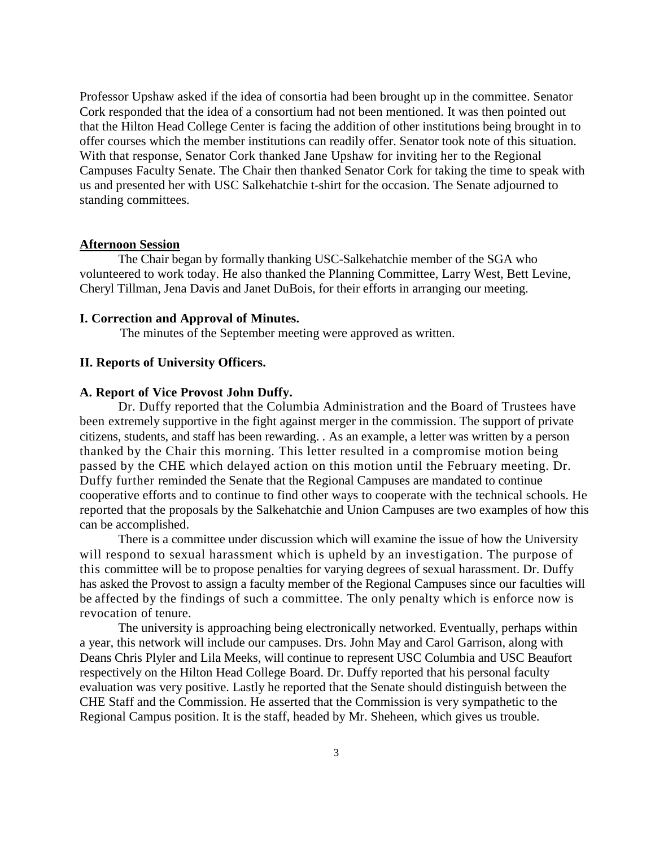Professor Upshaw asked if the idea of consortia had been brought up in the committee. Senator Cork responded that the idea of a consortium had not been mentioned. It was then pointed out that the Hilton Head College Center is facing the addition of other institutions being brought in to offer courses which the member institutions can readily offer. Senator took note of this situation. With that response, Senator Cork thanked Jane Upshaw for inviting her to the Regional Campuses Faculty Senate. The Chair then thanked Senator Cork for taking the time to speak with us and presented her with USC Salkehatchie t-shirt for the occasion. The Senate adjourned to standing committees.

## **Afternoon Session**

The Chair began by formally thanking USC-Salkehatchie member of the SGA who volunteered to work today. He also thanked the Planning Committee, Larry West, Bett Levine, Cheryl Tillman, Jena Davis and Janet DuBois, for their efforts in arranging our meeting.

#### **I. Correction and Approval of Minutes.**

The minutes of the September meeting were approved as written.

## **II. Reports of University Officers.**

### **A. Report of Vice Provost John Duffy.**

Dr. Duffy reported that the Columbia Administration and the Board of Trustees have been extremely supportive in the fight against merger in the commission. The support of private citizens, students, and staff has been rewarding. . As an example, a letter was written by a person thanked by the Chair this morning. This letter resulted in a compromise motion being passed by the CHE which delayed action on this motion until the February meeting. Dr. Duffy further reminded the Senate that the Regional Campuses are mandated to continue cooperative efforts and to continue to find other ways to cooperate with the technical schools. He reported that the proposals by the Salkehatchie and Union Campuses are two examples of how this can be accomplished.

There is a committee under discussion which will examine the issue of how the University will respond to sexual harassment which is upheld by an investigation. The purpose of this committee will be to propose penalties for varying degrees of sexual harassment. Dr. Duffy has asked the Provost to assign a faculty member of the Regional Campuses since our faculties will be affected by the findings of such a committee. The only penalty which is enforce now is revocation of tenure.

The university is approaching being electronically networked. Eventually, perhaps within a year, this network will include our campuses. Drs. John May and Carol Garrison, along with Deans Chris Plyler and Lila Meeks, will continue to represent USC Columbia and USC Beaufort respectively on the Hilton Head College Board. Dr. Duffy reported that his personal faculty evaluation was very positive. Lastly he reported that the Senate should distinguish between the CHE Staff and the Commission. He asserted that the Commission is very sympathetic to the Regional Campus position. It is the staff, headed by Mr. Sheheen, which gives us trouble.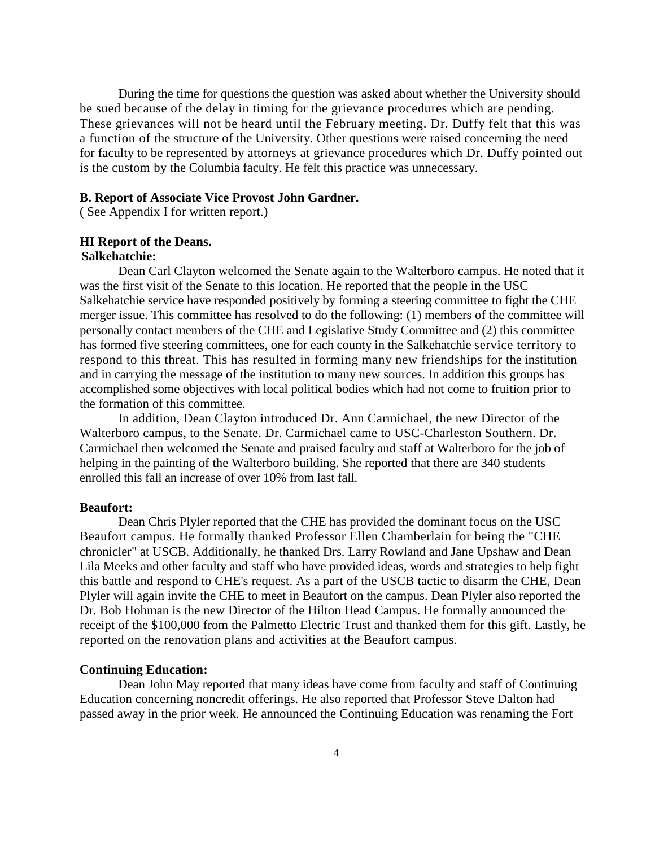During the time for questions the question was asked about whether the University should be sued because of the delay in timing for the grievance procedures which are pending. These grievances will not be heard until the February meeting. Dr. Duffy felt that this was a function of the structure of the University. Other questions were raised concerning the need for faculty to be represented by attorneys at grievance procedures which Dr. Duffy pointed out is the custom by the Columbia faculty. He felt this practice was unnecessary.

#### **B. Report of Associate Vice Provost John Gardner.**

( See Appendix I for written report.)

## **HI Report of the Deans.**

## **Salkehatchie:**

Dean Carl Clayton welcomed the Senate again to the Walterboro campus. He noted that it was the first visit of the Senate to this location. He reported that the people in the USC Salkehatchie service have responded positively by forming a steering committee to fight the CHE merger issue. This committee has resolved to do the following: (1) members of the committee will personally contact members of the CHE and Legislative Study Committee and (2) this committee has formed five steering committees, one for each county in the Salkehatchie service territory to respond to this threat. This has resulted in forming many new friendships for the institution and in carrying the message of the institution to many new sources. In addition this groups has accomplished some objectives with local political bodies which had not come to fruition prior to the formation of this committee.

In addition, Dean Clayton introduced Dr. Ann Carmichael, the new Director of the Walterboro campus, to the Senate. Dr. Carmichael came to USC-Charleston Southern. Dr. Carmichael then welcomed the Senate and praised faculty and staff at Walterboro for the job of helping in the painting of the Walterboro building. She reported that there are 340 students enrolled this fall an increase of over 10% from last fall.

#### **Beaufort:**

Dean Chris Plyler reported that the CHE has provided the dominant focus on the USC Beaufort campus. He formally thanked Professor Ellen Chamberlain for being the "CHE chronicler" at USCB. Additionally, he thanked Drs. Larry Rowland and Jane Upshaw and Dean Lila Meeks and other faculty and staff who have provided ideas, words and strategies to help fight this battle and respond to CHE's request. As a part of the USCB tactic to disarm the CHE, Dean Plyler will again invite the CHE to meet in Beaufort on the campus. Dean Plyler also reported the Dr. Bob Hohman is the new Director of the Hilton Head Campus. He formally announced the receipt of the \$100,000 from the Palmetto Electric Trust and thanked them for this gift. Lastly, he reported on the renovation plans and activities at the Beaufort campus.

## **Continuing Education:**

Dean John May reported that many ideas have come from faculty and staff of Continuing Education concerning noncredit offerings. He also reported that Professor Steve Dalton had passed away in the prior week. He announced the Continuing Education was renaming the Fort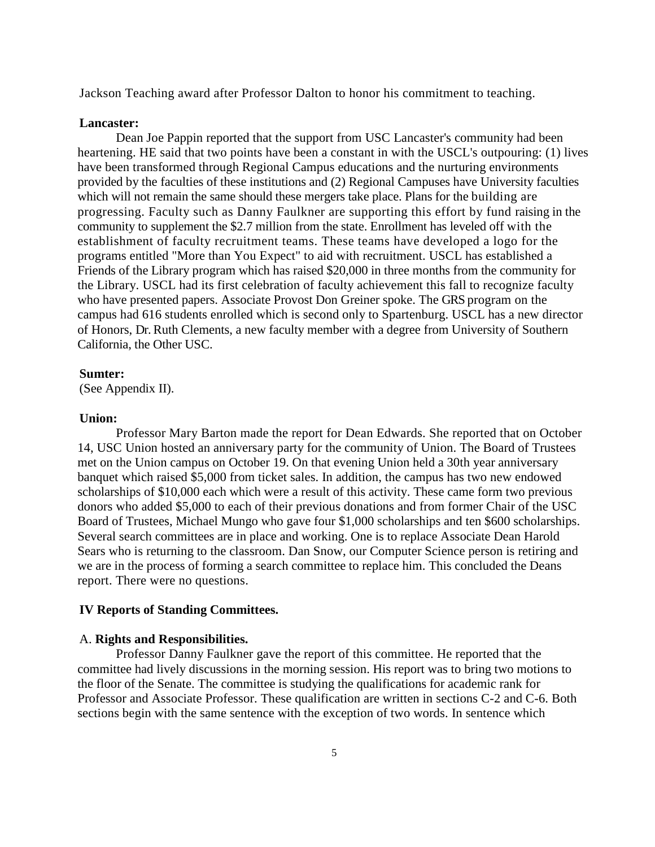Jackson Teaching award after Professor Dalton to honor his commitment to teaching.

#### **Lancaster:**

Dean Joe Pappin reported that the support from USC Lancaster's community had been heartening. HE said that two points have been a constant in with the USCL's outpouring: (1) lives have been transformed through Regional Campus educations and the nurturing environments provided by the faculties of these institutions and (2) Regional Campuses have University faculties which will not remain the same should these mergers take place. Plans for the building are progressing. Faculty such as Danny Faulkner are supporting this effort by fund raising in the community to supplement the \$2.7 million from the state. Enrollment has leveled off with the establishment of faculty recruitment teams. These teams have developed a logo for the programs entitled "More than You Expect" to aid with recruitment. USCL has established a Friends of the Library program which has raised \$20,000 in three months from the community for the Library. USCL had its first celebration of faculty achievement this fall to recognize faculty who have presented papers. Associate Provost Don Greiner spoke. The GRS program on the campus had 616 students enrolled which is second only to Spartenburg. USCL has a new director of Honors, Dr. Ruth Clements, a new faculty member with a degree from University of Southern California, the Other USC.

#### **Sumter:**

(See Appendix II).

## **Union:**

Professor Mary Barton made the report for Dean Edwards. She reported that on October 14, USC Union hosted an anniversary party for the community of Union. The Board of Trustees met on the Union campus on October 19. On that evening Union held a 30th year anniversary banquet which raised \$5,000 from ticket sales. In addition, the campus has two new endowed scholarships of \$10,000 each which were a result of this activity. These came form two previous donors who added \$5,000 to each of their previous donations and from former Chair of the USC Board of Trustees, Michael Mungo who gave four \$1,000 scholarships and ten \$600 scholarships. Several search committees are in place and working. One is to replace Associate Dean Harold Sears who is returning to the classroom. Dan Snow, our Computer Science person is retiring and we are in the process of forming a search committee to replace him. This concluded the Deans report. There were no questions.

#### **IV Reports of Standing Committees.**

#### A. **Rights and Responsibilities.**

Professor Danny Faulkner gave the report of this committee. He reported that the committee had lively discussions in the morning session. His report was to bring two motions to the floor of the Senate. The committee is studying the qualifications for academic rank for Professor and Associate Professor. These qualification are written in sections C-2 and C-6. Both sections begin with the same sentence with the exception of two words. In sentence which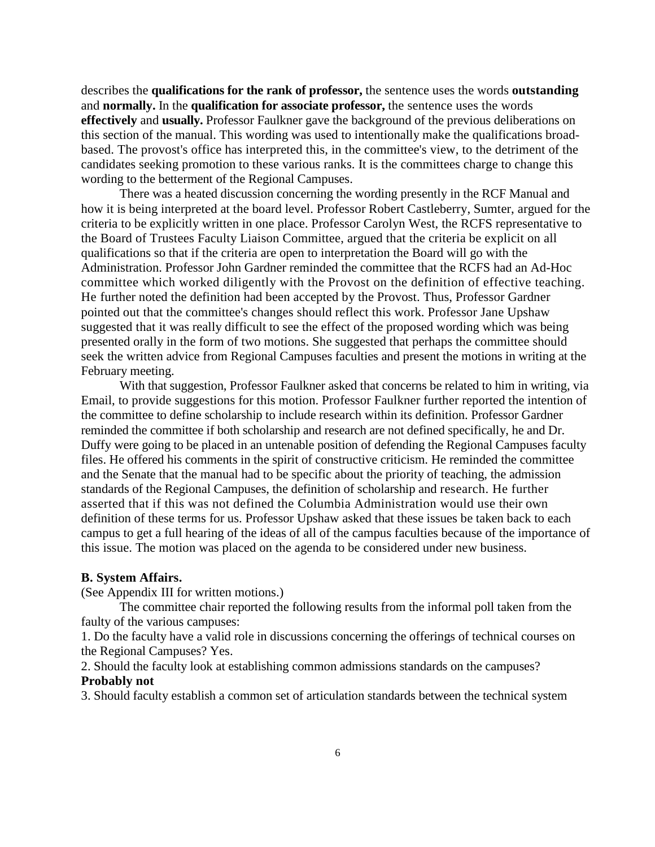describes the **qualifications for the rank of professor,** the sentence uses the words **outstanding**  and **normally.** In the **qualification for associate professor,** the sentence uses the words **effectively** and **usually.** Professor Faulkner gave the background of the previous deliberations on this section of the manual. This wording was used to intentionally make the qualifications broadbased. The provost's office has interpreted this, in the committee's view, to the detriment of the candidates seeking promotion to these various ranks. It is the committees charge to change this wording to the betterment of the Regional Campuses.

There was a heated discussion concerning the wording presently in the RCF Manual and how it is being interpreted at the board level. Professor Robert Castleberry, Sumter, argued for the criteria to be explicitly written in one place. Professor Carolyn West, the RCFS representative to the Board of Trustees Faculty Liaison Committee, argued that the criteria be explicit on all qualifications so that if the criteria are open to interpretation the Board will go with the Administration. Professor John Gardner reminded the committee that the RCFS had an Ad-Hoc committee which worked diligently with the Provost on the definition of effective teaching. He further noted the definition had been accepted by the Provost. Thus, Professor Gardner pointed out that the committee's changes should reflect this work. Professor Jane Upshaw suggested that it was really difficult to see the effect of the proposed wording which was being presented orally in the form of two motions. She suggested that perhaps the committee should seek the written advice from Regional Campuses faculties and present the motions in writing at the February meeting.

With that suggestion, Professor Faulkner asked that concerns be related to him in writing, via Email, to provide suggestions for this motion. Professor Faulkner further reported the intention of the committee to define scholarship to include research within its definition. Professor Gardner reminded the committee if both scholarship and research are not defined specifically, he and Dr. Duffy were going to be placed in an untenable position of defending the Regional Campuses faculty files. He offered his comments in the spirit of constructive criticism. He reminded the committee and the Senate that the manual had to be specific about the priority of teaching, the admission standards of the Regional Campuses, the definition of scholarship and research. He further asserted that if this was not defined the Columbia Administration would use their own definition of these terms for us. Professor Upshaw asked that these issues be taken back to each campus to get a full hearing of the ideas of all of the campus faculties because of the importance of this issue. The motion was placed on the agenda to be considered under new business.

## **B. System Affairs.**

(See Appendix III for written motions.)

The committee chair reported the following results from the informal poll taken from the faulty of the various campuses:

1. Do the faculty have a valid role in discussions concerning the offerings of technical courses on the Regional Campuses? Yes.

2. Should the faculty look at establishing common admissions standards on the campuses? **Probably not**

3. Should faculty establish a common set of articulation standards between the technical system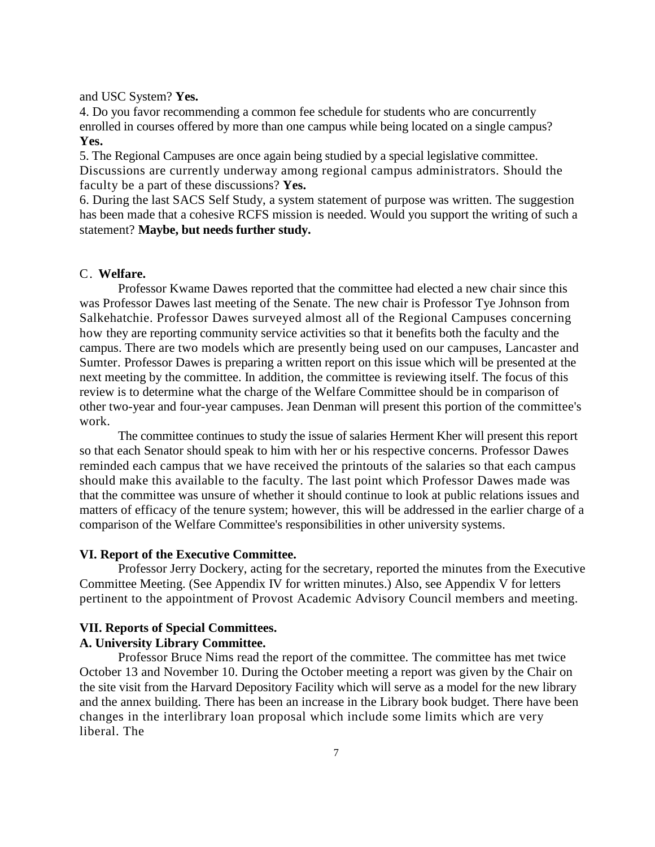and USC System? **Yes.**

4. Do you favor recommending a common fee schedule for students who are concurrently enrolled in courses offered by more than one campus while being located on a single campus? **Yes.**

5. The Regional Campuses are once again being studied by a special legislative committee. Discussions are currently underway among regional campus administrators. Should the faculty be a part of these discussions? **Yes.**

6. During the last SACS Self Study, a system statement of purpose was written. The suggestion has been made that a cohesive RCFS mission is needed. Would you support the writing of such a statement? **Maybe, but needs further study.**

## C. **Welfare.**

Professor Kwame Dawes reported that the committee had elected a new chair since this was Professor Dawes last meeting of the Senate. The new chair is Professor Tye Johnson from Salkehatchie. Professor Dawes surveyed almost all of the Regional Campuses concerning how they are reporting community service activities so that it benefits both the faculty and the campus. There are two models which are presently being used on our campuses, Lancaster and Sumter. Professor Dawes is preparing a written report on this issue which will be presented at the next meeting by the committee. In addition, the committee is reviewing itself. The focus of this review is to determine what the charge of the Welfare Committee should be in comparison of other two-year and four-year campuses. Jean Denman will present this portion of the committee's work.

The committee continues to study the issue of salaries Herment Kher will present this report so that each Senator should speak to him with her or his respective concerns. Professor Dawes reminded each campus that we have received the printouts of the salaries so that each campus should make this available to the faculty. The last point which Professor Dawes made was that the committee was unsure of whether it should continue to look at public relations issues and matters of efficacy of the tenure system; however, this will be addressed in the earlier charge of a comparison of the Welfare Committee's responsibilities in other university systems.

## **VI. Report of the Executive Committee.**

Professor Jerry Dockery, acting for the secretary, reported the minutes from the Executive Committee Meeting. (See Appendix IV for written minutes.) Also, see Appendix V for letters pertinent to the appointment of Provost Academic Advisory Council members and meeting.

## **VII. Reports of Special Committees.**

## **A. University Library Committee.**

Professor Bruce Nims read the report of the committee. The committee has met twice October 13 and November 10. During the October meeting a report was given by the Chair on the site visit from the Harvard Depository Facility which will serve as a model for the new library and the annex building. There has been an increase in the Library book budget. There have been changes in the interlibrary loan proposal which include some limits which are very liberal. The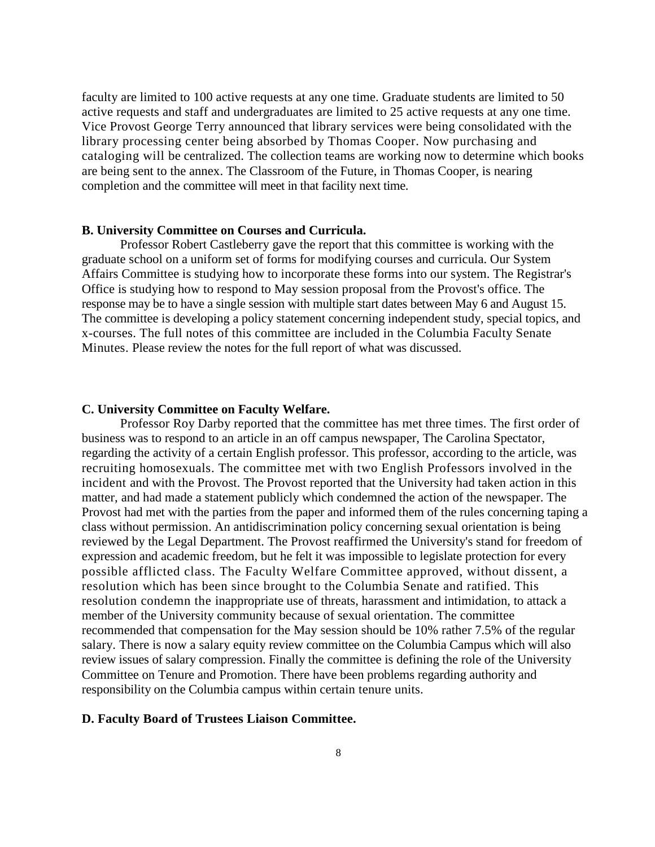faculty are limited to 100 active requests at any one time. Graduate students are limited to 50 active requests and staff and undergraduates are limited to 25 active requests at any one time. Vice Provost George Terry announced that library services were being consolidated with the library processing center being absorbed by Thomas Cooper. Now purchasing and cataloging will be centralized. The collection teams are working now to determine which books are being sent to the annex. The Classroom of the Future, in Thomas Cooper, is nearing completion and the committee will meet in that facility next time.

## **B. University Committee on Courses and Curricula.**

Professor Robert Castleberry gave the report that this committee is working with the graduate school on a uniform set of forms for modifying courses and curricula. Our System Affairs Committee is studying how to incorporate these forms into our system. The Registrar's Office is studying how to respond to May session proposal from the Provost's office. The response may be to have a single session with multiple start dates between May 6 and August 15. The committee is developing a policy statement concerning independent study, special topics, and x-courses. The full notes of this committee are included in the Columbia Faculty Senate Minutes. Please review the notes for the full report of what was discussed.

#### **C. University Committee on Faculty Welfare.**

Professor Roy Darby reported that the committee has met three times. The first order of business was to respond to an article in an off campus newspaper, The Carolina Spectator, regarding the activity of a certain English professor. This professor, according to the article, was recruiting homosexuals. The committee met with two English Professors involved in the incident and with the Provost. The Provost reported that the University had taken action in this matter, and had made a statement publicly which condemned the action of the newspaper. The Provost had met with the parties from the paper and informed them of the rules concerning taping a class without permission. An antidiscrimination policy concerning sexual orientation is being reviewed by the Legal Department. The Provost reaffirmed the University's stand for freedom of expression and academic freedom, but he felt it was impossible to legislate protection for every possible afflicted class. The Faculty Welfare Committee approved, without dissent, a resolution which has been since brought to the Columbia Senate and ratified. This resolution condemn the inappropriate use of threats, harassment and intimidation, to attack a member of the University community because of sexual orientation. The committee recommended that compensation for the May session should be 10% rather 7.5% of the regular salary. There is now a salary equity review committee on the Columbia Campus which will also review issues of salary compression. Finally the committee is defining the role of the University Committee on Tenure and Promotion. There have been problems regarding authority and responsibility on the Columbia campus within certain tenure units.

#### **D. Faculty Board of Trustees Liaison Committee.**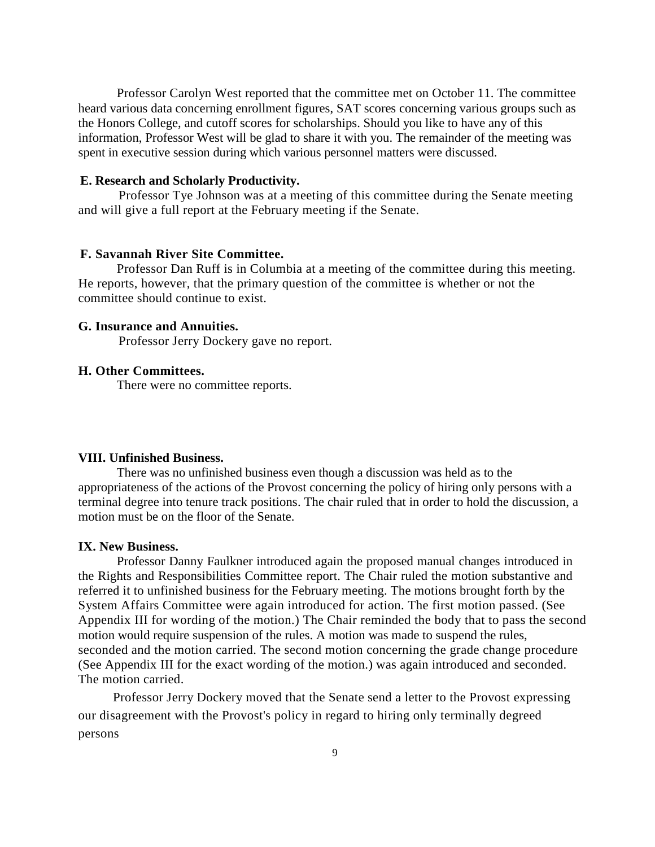Professor Carolyn West reported that the committee met on October 11. The committee heard various data concerning enrollment figures, SAT scores concerning various groups such as the Honors College, and cutoff scores for scholarships. Should you like to have any of this information, Professor West will be glad to share it with you. The remainder of the meeting was spent in executive session during which various personnel matters were discussed.

#### **E. Research and Scholarly Productivity.**

Professor Tye Johnson was at a meeting of this committee during the Senate meeting and will give a full report at the February meeting if the Senate.

#### **F. Savannah River Site Committee.**

Professor Dan Ruff is in Columbia at a meeting of the committee during this meeting. He reports, however, that the primary question of the committee is whether or not the committee should continue to exist.

## **G. Insurance and Annuities.**

Professor Jerry Dockery gave no report.

## **H. Other Committees.**

There were no committee reports.

## **VIII. Unfinished Business.**

There was no unfinished business even though a discussion was held as to the appropriateness of the actions of the Provost concerning the policy of hiring only persons with a terminal degree into tenure track positions. The chair ruled that in order to hold the discussion, a motion must be on the floor of the Senate.

#### **IX. New Business.**

Professor Danny Faulkner introduced again the proposed manual changes introduced in the Rights and Responsibilities Committee report. The Chair ruled the motion substantive and referred it to unfinished business for the February meeting. The motions brought forth by the System Affairs Committee were again introduced for action. The first motion passed. (See Appendix III for wording of the motion.) The Chair reminded the body that to pass the second motion would require suspension of the rules. A motion was made to suspend the rules, seconded and the motion carried. The second motion concerning the grade change procedure (See Appendix III for the exact wording of the motion.) was again introduced and seconded. The motion carried.

Professor Jerry Dockery moved that the Senate send a letter to the Provost expressing our disagreement with the Provost's policy in regard to hiring only terminally degreed persons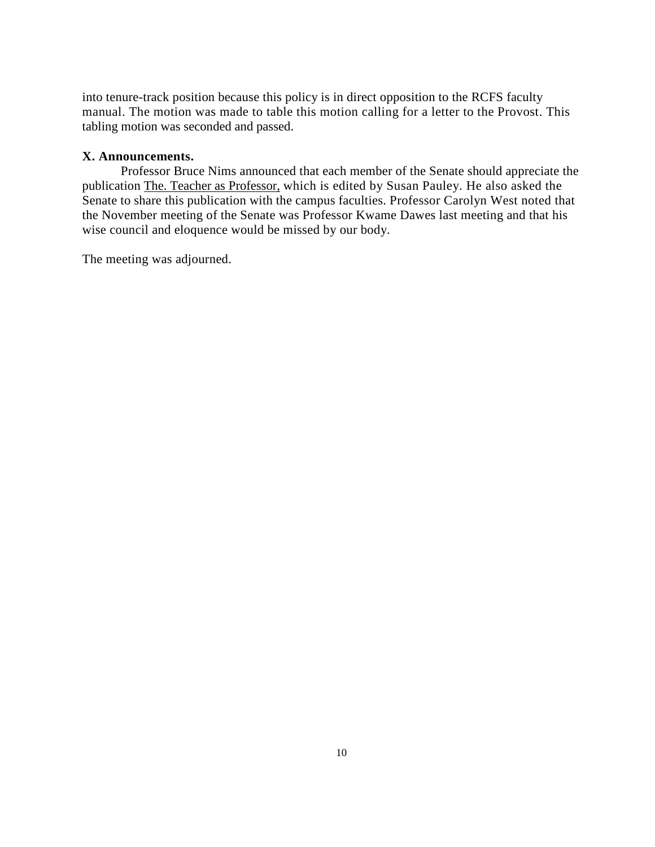into tenure-track position because this policy is in direct opposition to the RCFS faculty manual. The motion was made to table this motion calling for a letter to the Provost. This tabling motion was seconded and passed.

## **X. Announcements.**

Professor Bruce Nims announced that each member of the Senate should appreciate the publication The. Teacher as Professor, which is edited by Susan Pauley. He also asked the Senate to share this publication with the campus faculties. Professor Carolyn West noted that the November meeting of the Senate was Professor Kwame Dawes last meeting and that his wise council and eloquence would be missed by our body.

The meeting was adjourned.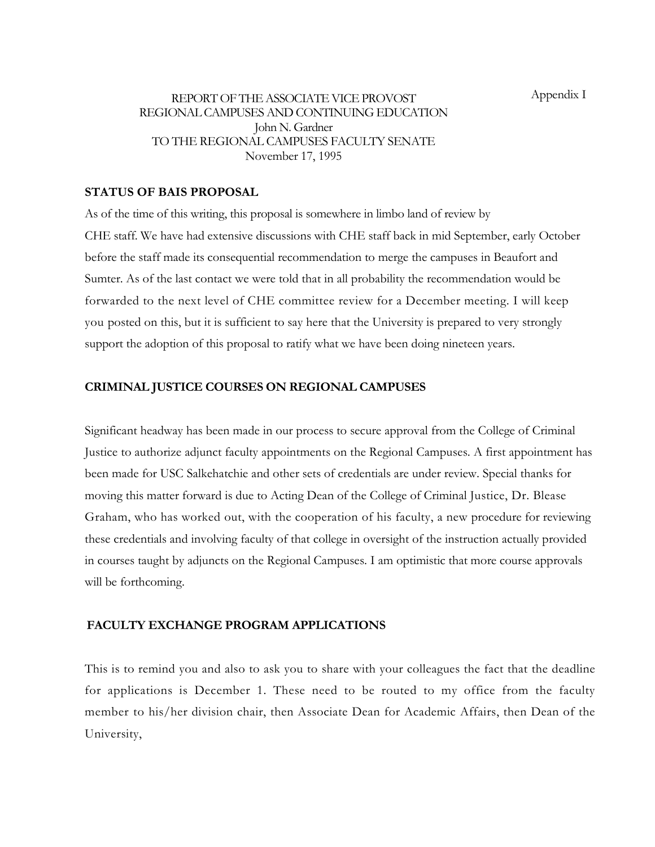## REPORT OF THE ASSOCIATE VICE PROVOST REGIONAL CAMPUSES AND CONTINUING EDUCATION John N. Gardner TO THE REGIONAL CAMPUSES FACULTY SENATE November 17, 1995

## **STATUS OF BAIS PROPOSAL**

As of the time of this writing, this proposal is somewhere in limbo land of review by CHE staff. We have had extensive discussions with CHE staff back in mid September, early October before the staff made its consequential recommendation to merge the campuses in Beaufort and Sumter. As of the last contact we were told that in all probability the recommendation would be forwarded to the next level of CHE committee review for a December meeting. I will keep you posted on this, but it is sufficient to say here that the University is prepared to very strongly support the adoption of this proposal to ratify what we have been doing nineteen years.

## **CRIMINAL JUSTICE COURSES ON REGIONAL CAMPUSES**

Significant headway has been made in our process to secure approval from the College of Criminal Justice to authorize adjunct faculty appointments on the Regional Campuses. A first appointment has been made for USC Salkehatchie and other sets of credentials are under review. Special thanks for moving this matter forward is due to Acting Dean of the College of Criminal Justice, Dr. Blease Graham, who has worked out, with the cooperation of his faculty, a new procedure for reviewing these credentials and involving faculty of that college in oversight of the instruction actually provided in courses taught by adjuncts on the Regional Campuses. I am optimistic that more course approvals will be forthcoming.

## **FACULTY EXCHANGE PROGRAM APPLICATIONS**

This is to remind you and also to ask you to share with your colleagues the fact that the deadline for applications is December 1. These need to be routed to my office from the faculty member to his/her division chair, then Associate Dean for Academic Affairs, then Dean of the University,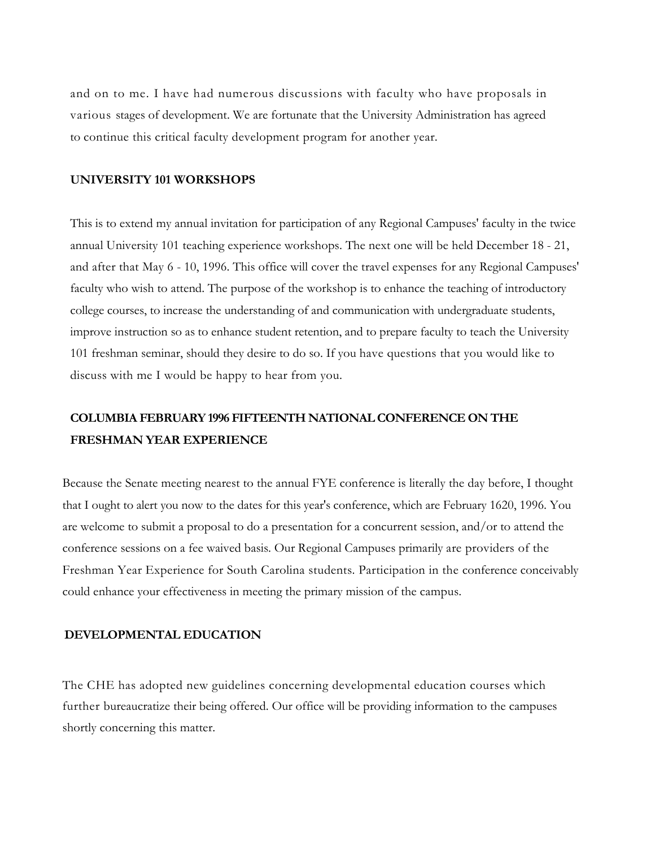and on to me. I have had numerous discussions with faculty who have proposals in various stages of development. We are fortunate that the University Administration has agreed to continue this critical faculty development program for another year.

## **UNIVERSITY 101 WORKSHOPS**

This is to extend my annual invitation for participation of any Regional Campuses' faculty in the twice annual University 101 teaching experience workshops. The next one will be held December 18 - 21, and after that May 6 - 10, 1996. This office will cover the travel expenses for any Regional Campuses' faculty who wish to attend. The purpose of the workshop is to enhance the teaching of introductory college courses, to increase the understanding of and communication with undergraduate students, improve instruction so as to enhance student retention, and to prepare faculty to teach the University 101 freshman seminar, should they desire to do so. If you have questions that you would like to discuss with me I would be happy to hear from you.

# **COLUMBIA FEBRUARY 1996 FIFTEENTH NATIONAL CONFERENCE ON THE FRESHMAN YEAR EXPERIENCE**

Because the Senate meeting nearest to the annual FYE conference is literally the day before, I thought that I ought to alert you now to the dates for this year's conference, which are February 1620, 1996. You are welcome to submit a proposal to do a presentation for a concurrent session, and/or to attend the conference sessions on a fee waived basis. Our Regional Campuses primarily are providers of the Freshman Year Experience for South Carolina students. Participation in the conference conceivably could enhance your effectiveness in meeting the primary mission of the campus.

## **DEVELOPMENTAL EDUCATION**

The CHE has adopted new guidelines concerning developmental education courses which further bureaucratize their being offered. Our office will be providing information to the campuses shortly concerning this matter.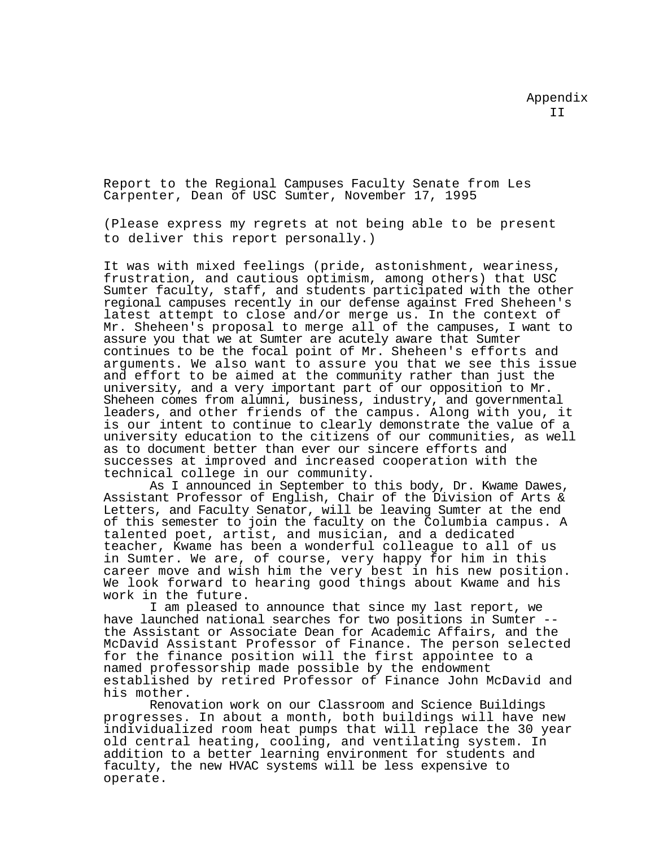Report to the Regional Campuses Faculty Senate from Les Carpenter, Dean of USC Sumter, November 17, 1995

(Please express my regrets at not being able to be present to deliver this report personally.)

It was with mixed feelings (pride, astonishment, weariness, frustration, and cautious optimism, among others) that USC Sumter faculty, staff, and students participated with the other regional campuses recently in our defense against Fred Sheheen's latest attempt to close and/or merge us. In the context of Mr. Sheheen's proposal to merge all of the campuses, I want to assure you that we at Sumter are acutely aware that Sumter continues to be the focal point of Mr. Sheheen's efforts and arguments. We also want to assure you that we see this issue and effort to be aimed at the community rather than just the university, and a very important part of our opposition to Mr. Sheheen comes from alumni, business, industry, and governmental leaders, and other friends of the campus. Along with you, it is our intent to continue to clearly demonstrate the value of a university education to the citizens of our communities, as well as to document better than ever our sincere efforts and successes at improved and increased cooperation with the technical college in our community.

As I announced in September to this body, Dr. Kwame Dawes, Assistant Professor of English, Chair of the Division of Arts & Letters, and Faculty Senator, will be leaving Sumter at the end of this semester to join the faculty on the Columbia campus. A talented poet, artist, and musician, and a dedicated teacher, Kwame has been a wonderful colleague to all of us in Sumter. We are, of course, very happy for him in this career move and wish him the very best in his new position. We look forward to hearing good things about Kwame and his work in the future.

I am pleased to announce that since my last report, we<br>have launched national searches for two positions in Sumter -the Assistant or Associate Dean for Academic Affairs, and the McDavid Assistant Professor of Finance. The person selected for the finance position will the first appointee to a named professorship made possible by the endowment established by retired Professor of Finance John McDavid and his mother.

Renovation work on our Classroom and Science Buildings progresses. In about a month, both buildings will have new individualized room heat pumps that will replace the 30 year old central heating, cooling, and ventilating system. In addition to a better learning environment for students and faculty, the new HVAC systems will be less expensive to operate.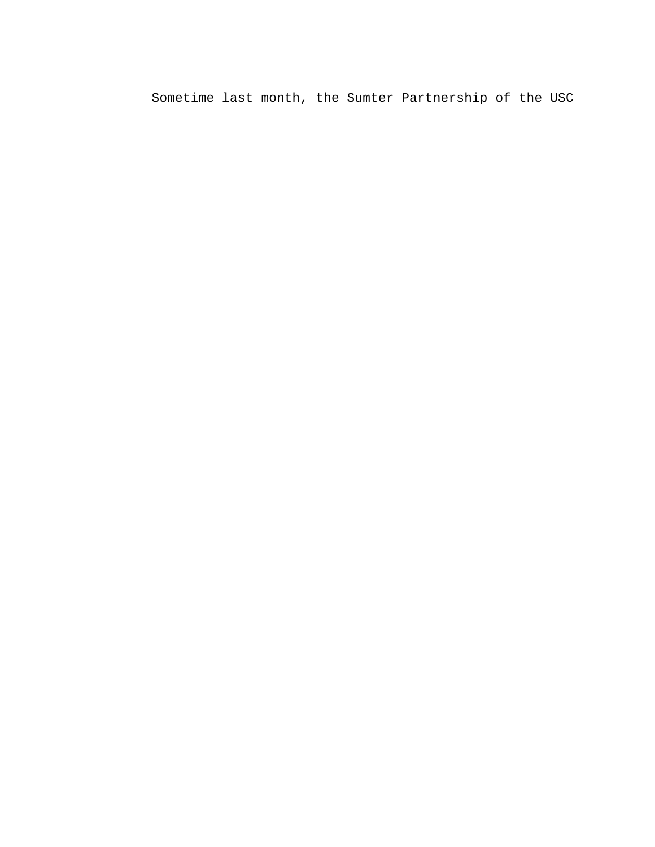Sometime last month, the Sumter Partnership of the USC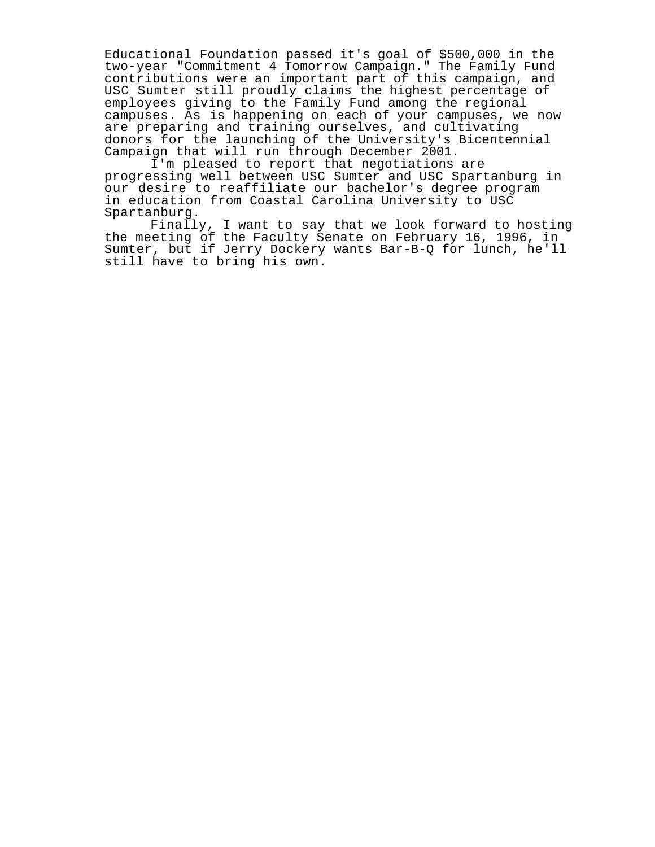Educational Foundation passed it's goal of \$500,000 in the two-year "Commitment 4 Tomorrow Campaign." The Family Fund contributions were an important part of this campaign, and USC Sumter still proudly claims the highest percentage of employees giving to the Family Fund among the regional campuses. As is happening on each of your campuses, we now are preparing and training ourselves, and cultivating donors for the launching of the University's Bicentennial Campaign that will run through December 2001.

I'm pleased to report that negotiations are progressing well between USC Sumter and USC Spartanburg in our desire to reaffiliate our bachelor's degree program in education from Coastal Carolina University to USC Spartanburg.

Finally, I want to say that we look forward to hosting the meeting of the Faculty Senate on February 16, 1996, in Sumter, but if Jerry Dockery wants Bar-B-Q for lunch, he'll still have to bring his own.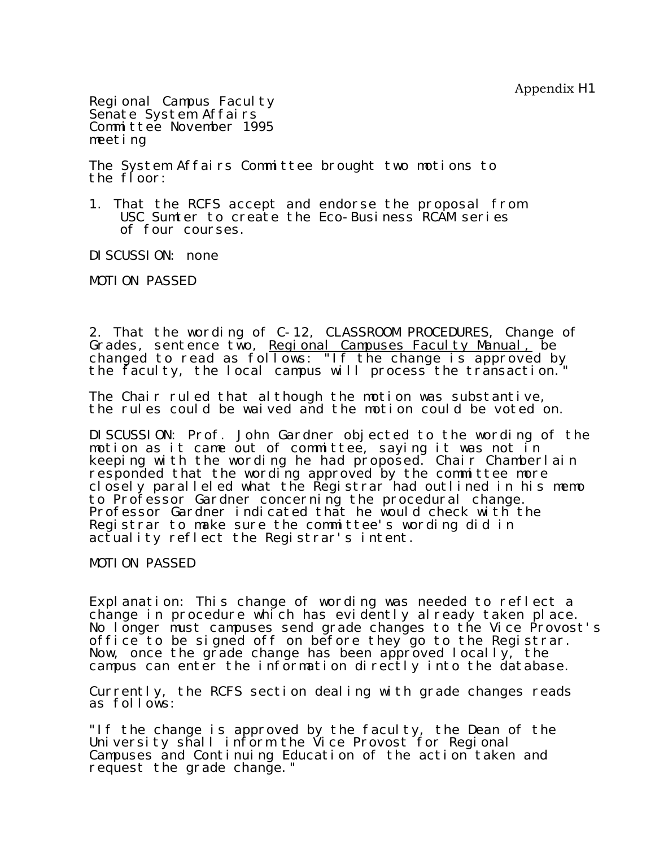Appendix H1

Regional Campus Faculty Senate System Affairs Committee November 1995 meeting

The System Affairs Committee brought two motions to the floor:

1. That the RCFS accept and endorse the proposal from USC Sumter to create the Eco-Business RCAM series of four courses.

DI SCUSSION: none

MOTION PASSED

2. That the wording of C-12, CLASSROOM PROCEDURES, Change of Grades, sentence two, <u>Regional Campuses Faculty Manual,</u> be changed to read as follows: "If the change is approved by the faculty, the local campus will process the transaction.

The Chair ruled that although the motion was substantive, the rules could be waived and the motion could be voted on.

DISCUSSION: Prof. John Gardner objected to the wording of the motion as it came out of committee, saying it was not in keeping with the wording he had proposed. Chair Chamberlain responded that the wording approved by the committee more closely paralleled what the Registrar had outlined in his memo to Professor Gardner concerning the procedural change. Professor Gardner indicated that he would check with the Registrar to make sure the committee's wording did in actuality reflect the Registrar's intent.

MOTION PASSED

Explanation: This change of wording was needed to reflect a change in procedure which has evidently already taken place. No longer must campuses send grade changes to the Vice Provost's office to be signed off on before they go to the Registrar. Now, once the grade change has been approved locally, the campus can enter the information directly into the database.

Currently, the RCFS section dealing with grade changes reads as follows:

"If the change is approved by the faculty, the Dean of the University shall inform the Vice Provost for Regional Campuses and Continuing Education of the action taken and request the grade change."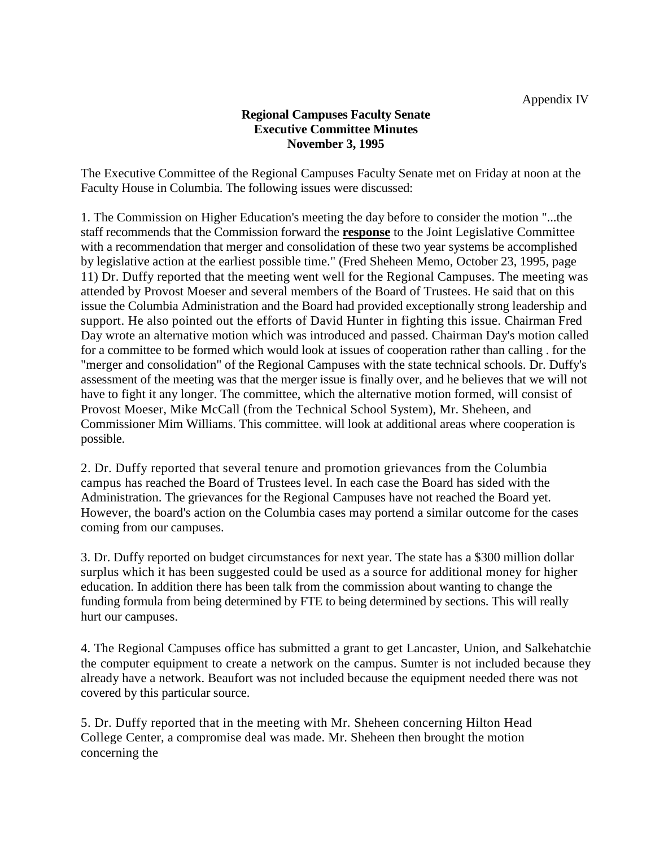## **Regional Campuses Faculty Senate Executive Committee Minutes November 3, 1995**

The Executive Committee of the Regional Campuses Faculty Senate met on Friday at noon at the Faculty House in Columbia. The following issues were discussed:

1. The Commission on Higher Education's meeting the day before to consider the motion "...the staff recommends that the Commission forward the **response** to the Joint Legislative Committee with a recommendation that merger and consolidation of these two year systems be accomplished by legislative action at the earliest possible time." (Fred Sheheen Memo, October 23, 1995, page 11) Dr. Duffy reported that the meeting went well for the Regional Campuses. The meeting was attended by Provost Moeser and several members of the Board of Trustees. He said that on this issue the Columbia Administration and the Board had provided exceptionally strong leadership and support. He also pointed out the efforts of David Hunter in fighting this issue. Chairman Fred Day wrote an alternative motion which was introduced and passed. Chairman Day's motion called for a committee to be formed which would look at issues of cooperation rather than calling . for the "merger and consolidation" of the Regional Campuses with the state technical schools. Dr. Duffy's assessment of the meeting was that the merger issue is finally over, and he believes that we will not have to fight it any longer. The committee, which the alternative motion formed, will consist of Provost Moeser, Mike McCall (from the Technical School System), Mr. Sheheen, and Commissioner Mim Williams. This committee. will look at additional areas where cooperation is possible.

2. Dr. Duffy reported that several tenure and promotion grievances from the Columbia campus has reached the Board of Trustees level. In each case the Board has sided with the Administration. The grievances for the Regional Campuses have not reached the Board yet. However, the board's action on the Columbia cases may portend a similar outcome for the cases coming from our campuses.

3. Dr. Duffy reported on budget circumstances for next year. The state has a \$300 million dollar surplus which it has been suggested could be used as a source for additional money for higher education. In addition there has been talk from the commission about wanting to change the funding formula from being determined by FTE to being determined by sections. This will really hurt our campuses.

4. The Regional Campuses office has submitted a grant to get Lancaster, Union, and Salkehatchie the computer equipment to create a network on the campus. Sumter is not included because they already have a network. Beaufort was not included because the equipment needed there was not covered by this particular source.

5. Dr. Duffy reported that in the meeting with Mr. Sheheen concerning Hilton Head College Center, a compromise deal was made. Mr. Sheheen then brought the motion concerning the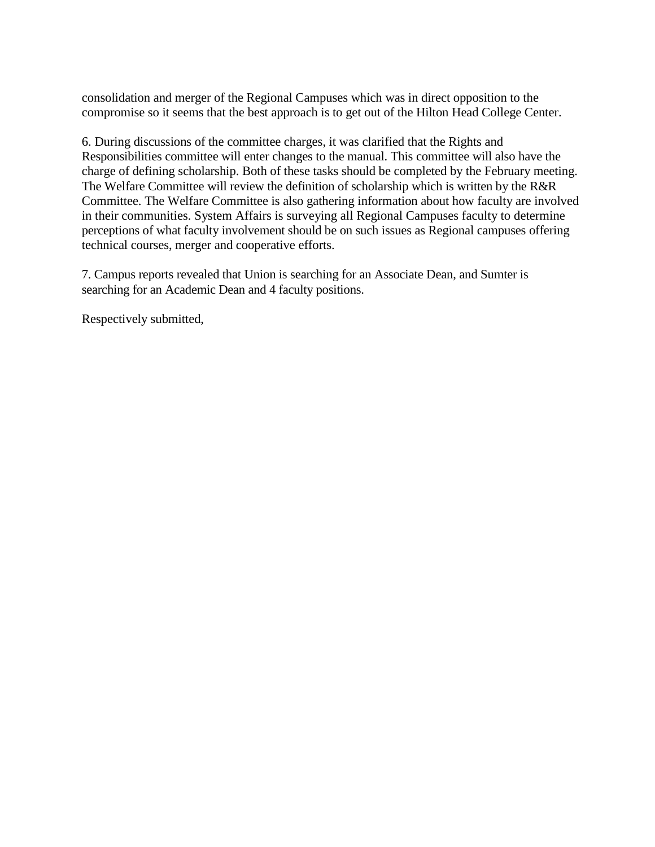consolidation and merger of the Regional Campuses which was in direct opposition to the compromise so it seems that the best approach is to get out of the Hilton Head College Center.

6. During discussions of the committee charges, it was clarified that the Rights and Responsibilities committee will enter changes to the manual. This committee will also have the charge of defining scholarship. Both of these tasks should be completed by the February meeting. The Welfare Committee will review the definition of scholarship which is written by the R&R Committee. The Welfare Committee is also gathering information about how faculty are involved in their communities. System Affairs is surveying all Regional Campuses faculty to determine perceptions of what faculty involvement should be on such issues as Regional campuses offering technical courses, merger and cooperative efforts.

7. Campus reports revealed that Union is searching for an Associate Dean, and Sumter is searching for an Academic Dean and 4 faculty positions.

Respectively submitted,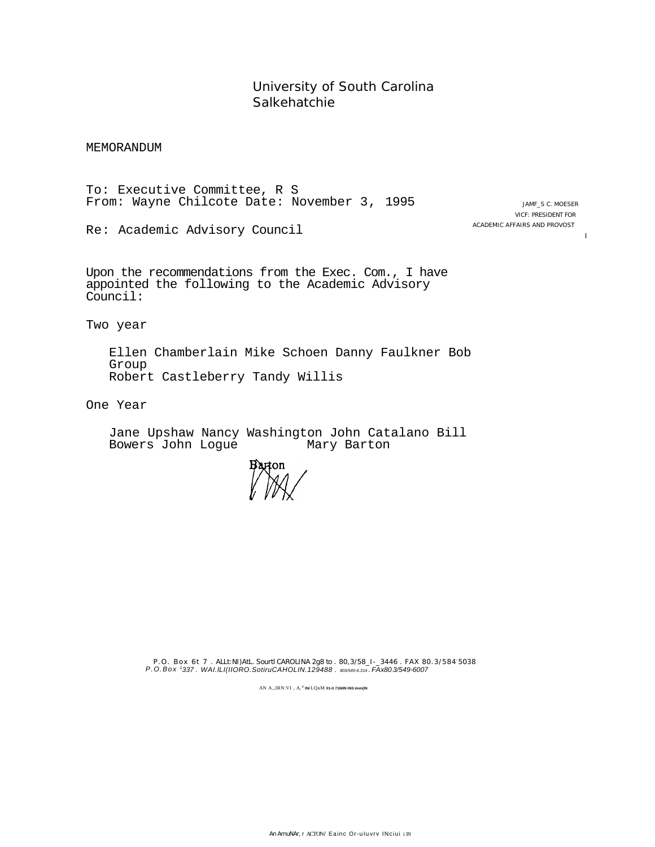University of South Carolina Salkehatchie

MEMORANDUM

To: Executive Committee, R S From: Wayne Chilcote Date: November 3, 1995

JAMF\_S C. MOESER VICF: PRESIDENT FOR ACADEMIC AFFAIRS AND PROVOST

I

Re: Academic Advisory Council

Upon the recommendations from the Exec. Com., I have appointed the following to the Academic Advisory Council:

Two year

Ellen Chamberlain Mike Schoen Danny Faulkner Bob Group Robert Castleberry Tandy Willis

One Year

Jane Upshaw Nancy Washington John Catalano Bill Bowers John Logue

P.O. Box 6t 7 . ALLt:NI)AtL. Sourtl CAROLINA 2g8 to . 80,3/58\_I-\_3446 . FAX 80.3/584- 5038 *P.O.Box 1 337 . WAI.lLI(IIORO.SotiruCAHOLIN.129488 . 803/549-6.314 . FAx80.3/549-6007*

AN A,,IRN:VI , A, **I' IN/** LQuM **01-It 71NIIN INS imm(IN**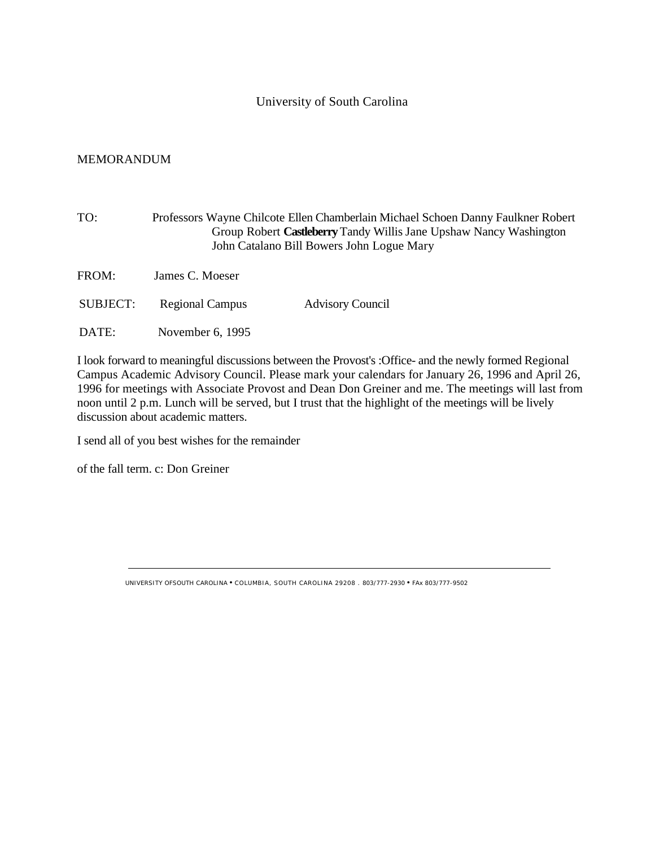## University of South Carolina

## MEMORANDUM

| TO:      |                        | Professors Wayne Chilcote Ellen Chamberlain Michael Schoen Danny Faulkner Robert<br>Group Robert Castleberry Tandy Willis Jane Upshaw Nancy Washington<br>John Catalano Bill Bowers John Logue Mary |  |  |  |
|----------|------------------------|-----------------------------------------------------------------------------------------------------------------------------------------------------------------------------------------------------|--|--|--|
| FROM:    | James C. Moeser        |                                                                                                                                                                                                     |  |  |  |
| SUBJECT: | <b>Regional Campus</b> | <b>Advisory Council</b>                                                                                                                                                                             |  |  |  |
| DATE:    | November 6, 1995       |                                                                                                                                                                                                     |  |  |  |

I look forward to meaningful discussions between the Provost's :Office- and the newly formed Regional Campus Academic Advisory Council. Please mark your calendars for January 26, 1996 and April 26, 1996 for meetings with Associate Provost and Dean Don Greiner and me. The meetings will last from noon until 2 p.m. Lunch will be served, but I trust that the highlight of the meetings will be lively discussion about academic matters.

I send all of you best wishes for the remainder

of the fall term. c: Don Greiner

UNIVERSITY OFSOUTH CAROLINA • COLUMBIA, SOUTH CAROLINA 29208 . 803/777-2930 • FAx 803/777-9502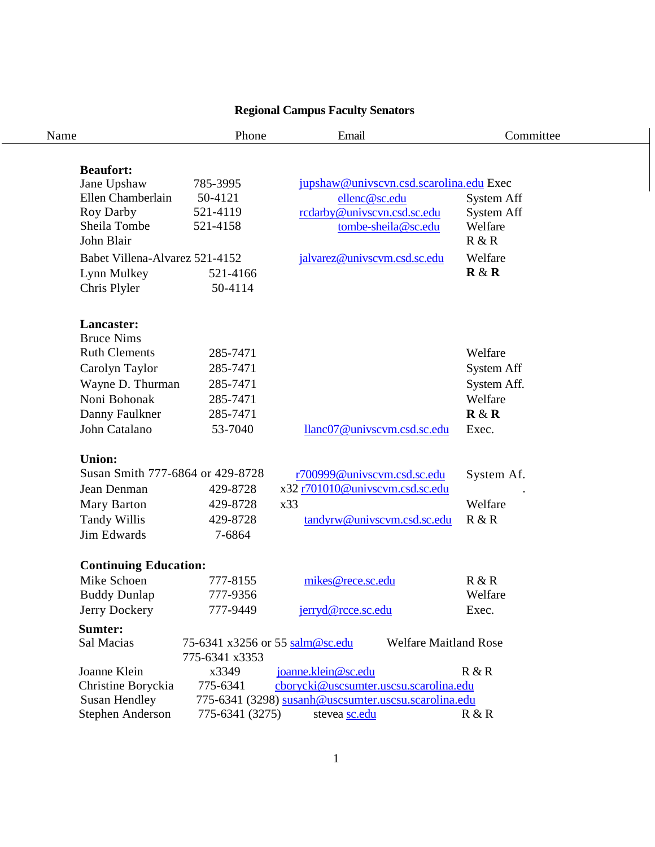# **Regional Campus Faculty Senators**

| Name                                                                                                                                                             | Phone                                                                                     | Email                                                                                                                                                                  | Committee                                                                      |
|------------------------------------------------------------------------------------------------------------------------------------------------------------------|-------------------------------------------------------------------------------------------|------------------------------------------------------------------------------------------------------------------------------------------------------------------------|--------------------------------------------------------------------------------|
| <b>Beaufort:</b><br>Jane Upshaw<br>Ellen Chamberlain<br>Roy Darby<br>Sheila Tombe<br>John Blair<br>Babet Villena-Alvarez 521-4152<br>Lynn Mulkey<br>Chris Plyler | 785-3995<br>50-4121<br>521-4119<br>521-4158<br>521-4166<br>50-4114                        | jupshaw@univscvn.csd.scarolina.edu Exec<br>ellenc@sc.edu<br>rcdarby@univscvn.csd.sc.edu<br>tombe-sheila@sc.edu<br>jalvarez@univscvm.csd.sc.edu                         | <b>System Aff</b><br><b>System Aff</b><br>Welfare<br>R & R<br>Welfare<br>R & R |
| Lancaster:<br><b>Bruce Nims</b><br><b>Ruth Clements</b><br>Carolyn Taylor<br>Wayne D. Thurman<br>Noni Bohonak<br>Danny Faulkner<br>John Catalano                 | 285-7471<br>285-7471<br>285-7471<br>285-7471<br>285-7471<br>53-7040                       | llanc07@univscvm.csd.sc.edu                                                                                                                                            | Welfare<br>System Aff<br>System Aff.<br>Welfare<br>R & R<br>Exec.              |
| <b>Union:</b><br>Susan Smith 777-6864 or 429-8728<br>Jean Denman<br>Mary Barton<br><b>Tandy Willis</b><br>Jim Edwards                                            | 429-8728<br>429-8728<br>429-8728<br>7-6864                                                | r700999@univscvm.csd.sc.edu<br>x32 r701010@univscvm.csd.sc.edu<br>x33<br>tandyrw@univscvm.csd.sc.edu                                                                   | System Af.<br>Welfare<br>R & R                                                 |
| <b>Continuing Education:</b><br>Mike Schoen<br><b>Buddy Dunlap</b><br>Jerry Dockery<br>Sumter:                                                                   | 777-8155<br>777-9356<br>777-9449                                                          | mikes@rece.sc.edu<br>jerryd@rcce.sc.edu                                                                                                                                | R & R<br>Welfare<br>Exec.                                                      |
| Sal Macias<br>Joanne Klein<br>Christine Boryckia<br><b>Susan Hendley</b><br><b>Stephen Anderson</b>                                                              | 75-6341 x3256 or 55 salm@sc.edu<br>775-6341 x3353<br>x3349<br>775-6341<br>775-6341 (3275) | <b>Welfare Maitland Rose</b><br>joanne.klein@sc.edu<br>cborycki@uscsumter.uscsu.scarolina.edu<br>775-6341 (3298) susanh@uscsumter.uscsu.scarolina.edu<br>stevea sc.edu | R & R<br>R & R                                                                 |